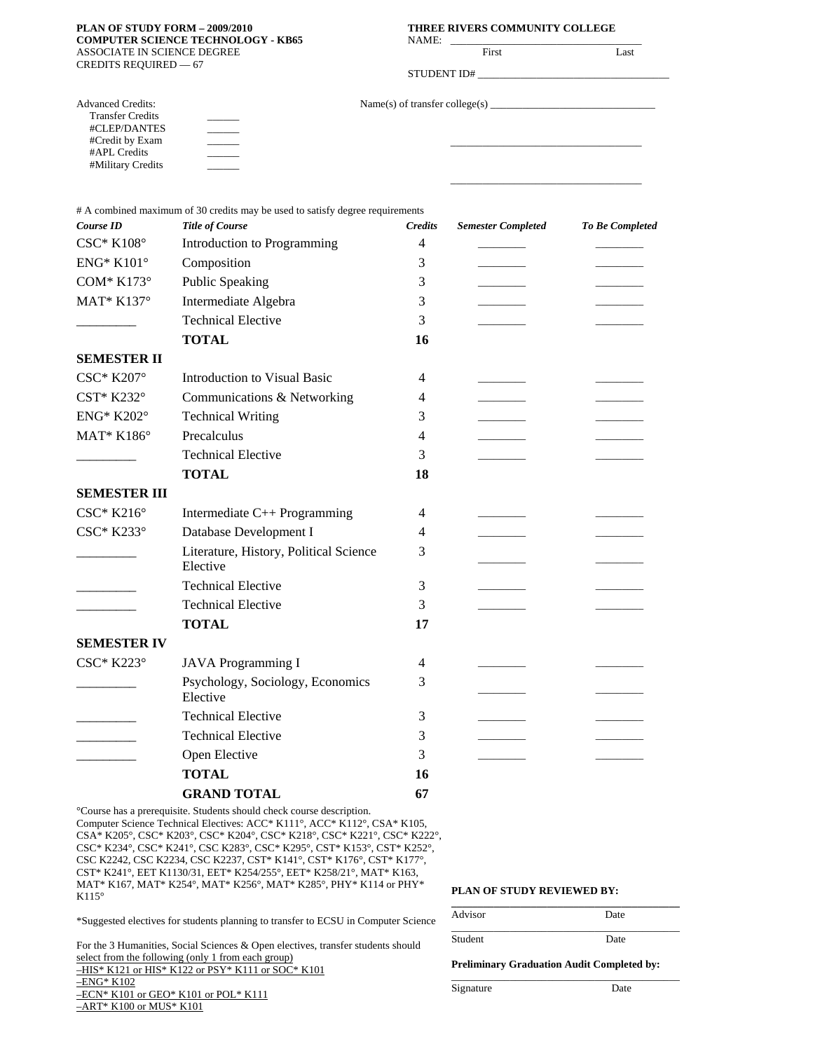#### **PLAN OF STUDY FORM – 2009/2010 THREE RIVERS COMMUNITY COLLEGE COMPUTER SCIENCE TECHNOLOGY - KB65** ASSOCIATE IN SCIENCE DEGREE CREDITS REQUIRED — 67

 $\overline{\phantom{a}}$  $\overline{\phantom{a}}$  $\overline{\phantom{a}}$  $\overline{\phantom{a}}$  $\overline{\phantom{a}}$ 

Advanced Credits: Transfer Credits #CLEP/DANTES #Credit by Exam #APL Credits #Military Credits

| GY - KB65 | THREE RIVERS COMMUNITY COLLEGE<br>NAME:<br><u> 1980 - Andrea Station Andrea Station (m. 1980)</u> |             |      |  |
|-----------|---------------------------------------------------------------------------------------------------|-------------|------|--|
|           |                                                                                                   | First       | Last |  |
|           |                                                                                                   | STUDENT ID# |      |  |
|           |                                                                                                   |             |      |  |
|           |                                                                                                   |             |      |  |
|           |                                                                                                   |             |      |  |
|           |                                                                                                   |             |      |  |

# A combined maximum of 30 credits may be used to satisfy degree requirements

| Course ID               | <b>Title of Course</b>                             | <b>Credits</b> | <b>Semester Completed</b> | <b>To Be Completed</b> |
|-------------------------|----------------------------------------------------|----------------|---------------------------|------------------------|
| $CSC^*$ K108 $^{\circ}$ | Introduction to Programming                        | $\overline{4}$ |                           |                        |
| <b>ENG* K101°</b>       | Composition                                        | 3              |                           |                        |
| COM* $K173^\circ$       | <b>Public Speaking</b>                             | 3              |                           |                        |
| MAT* K137°              | Intermediate Algebra                               | 3              |                           |                        |
|                         | <b>Technical Elective</b>                          | 3              |                           |                        |
|                         | <b>TOTAL</b>                                       | 16             |                           |                        |
| <b>SEMESTER II</b>      |                                                    |                |                           |                        |
| CSC* K207°              | <b>Introduction to Visual Basic</b>                | 4              |                           |                        |
| CST* K232°              | Communications & Networking                        | 4              |                           |                        |
| <b>ENG* K202°</b>       | <b>Technical Writing</b>                           | 3              |                           |                        |
| MAT* K186°              | Precalculus                                        | 4              |                           |                        |
|                         | <b>Technical Elective</b>                          | 3              |                           |                        |
|                         | <b>TOTAL</b>                                       | 18             |                           |                        |
| <b>SEMESTER III</b>     |                                                    |                |                           |                        |
| $CSC^*$ K216 $\circ$    | Intermediate C++ Programming                       | 4              |                           |                        |
| $CSC* K233°$            | Database Development I                             | 4              |                           |                        |
|                         | Literature, History, Political Science<br>Elective | 3              |                           |                        |
|                         | <b>Technical Elective</b>                          | 3              |                           |                        |
|                         | <b>Technical Elective</b>                          | 3              |                           |                        |
|                         | <b>TOTAL</b>                                       | 17             |                           |                        |
| <b>SEMESTER IV</b>      |                                                    |                |                           |                        |
| CSC* K223°              | <b>JAVA</b> Programming I                          | 4              |                           |                        |
|                         | Psychology, Sociology, Economics<br>Elective       | 3              |                           |                        |
|                         | <b>Technical Elective</b>                          | 3              |                           |                        |
|                         | <b>Technical Elective</b>                          | 3              |                           |                        |
|                         | Open Elective                                      | 3              |                           |                        |
|                         | <b>TOTAL</b>                                       | 16             |                           |                        |
|                         | <b>GRAND TOTAL</b>                                 | 67             |                           |                        |
|                         |                                                    |                |                           |                        |

°Course has a prerequisite. Students should check course description. Computer Science Technical Electives: ACC\* K111°, ACC\* K112°, CSA\* K105, CSA\* K205°, CSC\* K203°, CSC\* K204°, CSC\* K218°, CSC\* K221°, CSC\* K222°, CSC\* K234°, CSC\* K241°, CSC K283°, CSC\* K295°, CST\* K153°, CST\* K252°, CSC K2242, CSC K2234, CSC K2237, CST\* K141°, CST\* K176°, CST\* K177°, CST\* K241°, EET K1130/31, EET\* K254/255°, EET\* K258/21°, MAT\* K163, MAT\* K167, MAT\* K254°, MAT\* K256°, MAT\* K285°, PHY\* K114 or PHY\* K115°

\*Suggested electives for students planning to transfer to ECSU in Computer Science

For the 3 Humanities, Social Sciences & Open electives, transfer students should select from the following (only 1 from each group)

–HIS\* K121 or HIS\* K122 or PSY\* K111 or SOC\* K101

 $-ENG*K102$ 

–ECN\* K101 or GEO\* K101 or POL\* K111 –ART\* K100 or MUS\* K101

# **PLAN OF STUDY REVIEWED BY:**

| Advisor | Date |  |
|---------|------|--|
| Student | Date |  |

\_\_\_\_\_\_\_\_\_\_\_\_\_\_\_\_\_\_\_\_\_\_\_\_\_\_\_\_\_\_\_\_\_\_\_\_\_\_\_\_\_\_\_

#### **Preliminary Graduation Audit Completed by:**

Signature Date